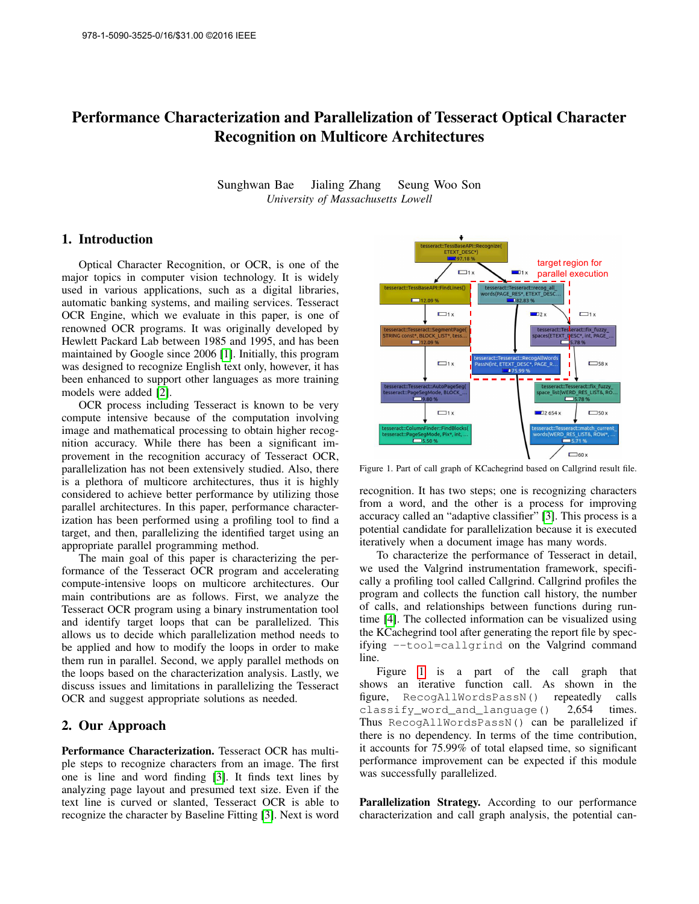# Performance Characterization and Parallelization of Tesseract Optical Character Recognition on Multicore Architectures

Sunghwan Bae Jialing Zhang Seung Woo Son *University of Massachusetts Lowell*

## 1. Introduction

Optical Character Recognition, or OCR, is one of the major topics in computer vision technology. It is widely used in various applications, such as a digital libraries, automatic banking systems, and mailing services. Tesseract OCR Engine, which we evaluate in this paper, is one of renowned OCR programs. It was originally developed by Hewlett Packard Lab between 1985 and 1995, and has been maintained by Google since 2006 [\[1\]](#page-1-0). Initially, this program was designed to recognize English text only, however, it has been enhanced to support other languages as more training models were added [\[2\]](#page-1-1).

OCR process including Tesseract is known to be very compute intensive because of the computation involving image and mathematical processing to obtain higher recognition accuracy. While there has been a significant improvement in the recognition accuracy of Tesseract OCR, parallelization has not been extensively studied. Also, there is a plethora of multicore architectures, thus it is highly considered to achieve better performance by utilizing those parallel architectures. In this paper, performance characterization has been performed using a profiling tool to find a target, and then, parallelizing the identified target using an appropriate parallel programming method.

The main goal of this paper is characterizing the performance of the Tesseract OCR program and accelerating compute-intensive loops on multicore architectures. Our main contributions are as follows. First, we analyze the Tesseract OCR program using a binary instrumentation tool and identify target loops that can be parallelized. This allows us to decide which parallelization method needs to be applied and how to modify the loops in order to make them run in parallel. Second, we apply parallel methods on the loops based on the characterization analysis. Lastly, we discuss issues and limitations in parallelizing the Tesseract OCR and suggest appropriate solutions as needed.

## 2. Our Approach

Performance Characterization. Tesseract OCR has multiple steps to recognize characters from an image. The first one is line and word finding [\[3\]](#page-1-2). It finds text lines by analyzing page layout and presumed text size. Even if the text line is curved or slanted, Tesseract OCR is able to recognize the character by Baseline Fitting [\[3\]](#page-1-2). Next is word



<span id="page-0-0"></span>Figure 1. Part of call graph of KCachegrind based on Callgrind result file.

recognition. It has two steps; one is recognizing characters from a word, and the other is a process for improving accuracy called an "adaptive classifier" [\[3\]](#page-1-2). This process is a potential candidate for parallelization because it is executed iteratively when a document image has many words.

To characterize the performance of Tesseract in detail, we used the Valgrind instrumentation framework, specifically a profiling tool called Callgrind. Callgrind profiles the program and collects the function call history, the number of calls, and relationships between functions during runtime [\[4\]](#page-1-3). The collected information can be visualized using the KCachegrind tool after generating the report file by specifying --tool=callgrind on the Valgrind command line.

Figure [1](#page-0-0) is a part of the call graph that shows an iterative function call. As shown in the figure, RecogAllWordsPassN() repeatedly calls classify\_word\_and\_language() 2,654 times. Thus RecogAllWordsPassN() can be parallelized if there is no dependency. In terms of the time contribution, it accounts for 75.99% of total elapsed time, so significant performance improvement can be expected if this module was successfully parallelized.

Parallelization Strategy. According to our performance characterization and call graph analysis, the potential can